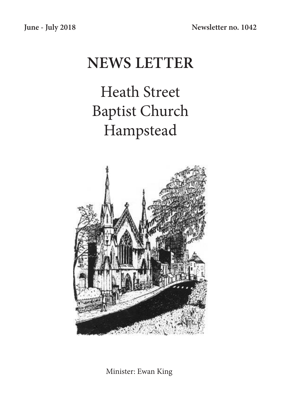# **NEWS LETTER**

Heath Street Baptist Church Hampstead



Minister: Ewan King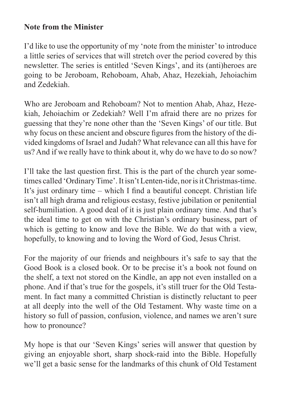### **Note from the Minister**

I'd like to use the opportunity of my 'note from the minister' to introduce a little series of services that will stretch over the period covered by this newsletter. The series is entitled 'Seven Kings', and its (anti)heroes are going to be Jeroboam, Rehoboam, Ahab, Ahaz, Hezekiah, Jehoiachim and Zedekiah.

Who are Jeroboam and Rehoboam? Not to mention Ahab, Ahaz, Hezekiah, Jehoiachim or Zedekiah? Well I'm afraid there are no prizes for guessing that they're none other than the 'Seven Kings' of our title. But why focus on these ancient and obscure figures from the history of the divided kingdoms of Israel and Judah? What relevance can all this have for us? And if we really have to think about it, why do we have to do so now?

I'll take the last question first. This is the part of the church year sometimes called 'Ordinary Time'. It isn't Lenten-tide, nor is it Christmas-time. It's just ordinary time – which I find a beautiful concept. Christian life isn't all high drama and religious ecstasy, festive jubilation or penitential self-humiliation. A good deal of it is just plain ordinary time. And that's the ideal time to get on with the Christian's ordinary business, part of which is getting to know and love the Bible. We do that with a view, hopefully, to knowing and to loving the Word of God, Jesus Christ.

For the majority of our friends and neighbours it's safe to say that the Good Book is a closed book. Or to be precise it's a book not found on the shelf, a text not stored on the Kindle, an app not even installed on a phone. And if that's true for the gospels, it's still truer for the Old Testament. In fact many a committed Christian is distinctly reluctant to peer at all deeply into the well of the Old Testament. Why waste time on a history so full of passion, confusion, violence, and names we aren't sure how to pronounce?

My hope is that our 'Seven Kings' series will answer that question by giving an enjoyable short, sharp shock-raid into the Bible. Hopefully we'll get a basic sense for the landmarks of this chunk of Old Testament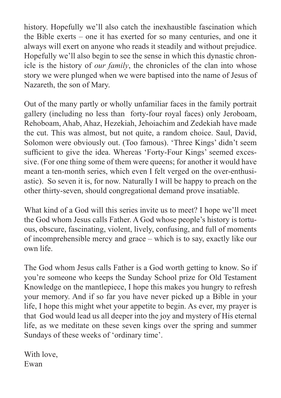history. Hopefully we'll also catch the inexhaustible fascination which the Bible exerts – one it has exerted for so many centuries, and one it always will exert on anyone who reads it steadily and without prejudice. Hopefully we'll also begin to see the sense in which this dynastic chronicle is the history of *our family*, the chronicles of the clan into whose story we were plunged when we were baptised into the name of Jesus of Nazareth, the son of Mary.

Out of the many partly or wholly unfamiliar faces in the family portrait gallery (including no less than forty-four royal faces) only Jeroboam, Rehoboam, Ahab, Ahaz, Hezekiah, Jehoiachim and Zedekiah have made the cut. This was almost, but not quite, a random choice. Saul, David, Solomon were obviously out. (Too famous). 'Three Kings' didn't seem sufficient to give the idea. Whereas 'Forty-Four Kings' seemed excessive. (For one thing some of them were queens; for another it would have meant a ten-month series, which even I felt verged on the over-enthusiastic). So seven it is, for now. Naturally I will be happy to preach on the other thirty-seven, should congregational demand prove insatiable.

What kind of a God will this series invite us to meet? I hope we'll meet the God whom Jesus calls Father. A God whose people's history is tortuous, obscure, fascinating, violent, lively, confusing, and full of moments of incomprehensible mercy and grace – which is to say, exactly like our own life.

The God whom Jesus calls Father is a God worth getting to know. So if you're someone who keeps the Sunday School prize for Old Testament Knowledge on the mantlepiece, I hope this makes you hungry to refresh your memory. And if so far you have never picked up a Bible in your life, I hope this might whet your appetite to begin. As ever, my prayer is that God would lead us all deeper into the joy and mystery of His eternal life, as we meditate on these seven kings over the spring and summer Sundays of these weeks of 'ordinary time'.

With love, Ewan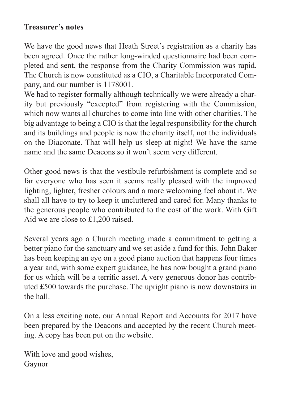## **Treasurer's notes**

We have the good news that Heath Street's registration as a charity has been agreed. Once the rather long-winded questionnaire had been completed and sent, the response from the Charity Commission was rapid. The Church is now constituted as a CIO, a Charitable Incorporated Company, and our number is 1178001.

We had to register formally although technically we were already a charity but previously "excepted" from registering with the Commission, which now wants all churches to come into line with other charities. The big advantage to being a CIO is that the legal responsibility for the church and its buildings and people is now the charity itself, not the individuals on the Diaconate. That will help us sleep at night! We have the same name and the same Deacons so it won't seem very different.

Other good news is that the vestibule refurbishment is complete and so far everyone who has seen it seems really pleased with the improved lighting, lighter, fresher colours and a more welcoming feel about it. We shall all have to try to keep it uncluttered and cared for. Many thanks to the generous people who contributed to the cost of the work. With Gift Aid we are close to £1,200 raised.

Several years ago a Church meeting made a commitment to getting a better piano for the sanctuary and we set aside a fund for this. John Baker has been keeping an eye on a good piano auction that happens four times a year and, with some expert guidance, he has now bought a grand piano for us which will be a terrific asset. A very generous donor has contributed £500 towards the purchase. The upright piano is now downstairs in the hall.

On a less exciting note, our Annual Report and Accounts for 2017 have been prepared by the Deacons and accepted by the recent Church meeting. A copy has been put on the website.

With love and good wishes, Gaynor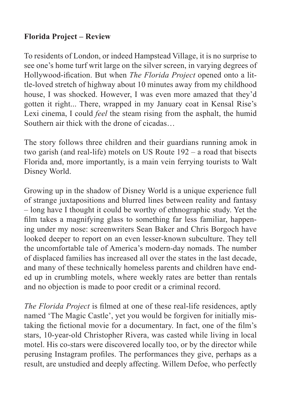# **Florida Project – Review**

To residents of London, or indeed Hampstead Village, it is no surprise to see one's home turf writ large on the silver screen, in varying degrees of Hollywood-ification. But when *The Florida Project* opened onto a little-loved stretch of highway about 10 minutes away from my childhood house, I was shocked. However, I was even more amazed that they'd gotten it right... There, wrapped in my January coat in Kensal Rise's Lexi cinema, I could *feel* the steam rising from the asphalt, the humid Southern air thick with the drone of cicadas…

The story follows three children and their guardians running amok in two garish (and real-life) motels on US Route 192 – a road that bisects Florida and, more importantly, is a main vein ferrying tourists to Walt Disney World.

Growing up in the shadow of Disney World is a unique experience full of strange juxtapositions and blurred lines between reality and fantasy – long have I thought it could be worthy of ethnographic study. Yet the film takes a magnifying glass to something far less familiar, happening under my nose: screenwriters Sean Baker and Chris Borgoch have looked deeper to report on an even lesser-known subculture. They tell the uncomfortable tale of America's modern-day nomads. The number of displaced families has increased all over the states in the last decade, and many of these technically homeless parents and children have ended up in crumbling motels, where weekly rates are better than rentals and no objection is made to poor credit or a criminal record.

*The Florida Project* is filmed at one of these real-life residences, aptly named 'The Magic Castle', yet you would be forgiven for initially mistaking the fictional movie for a documentary. In fact, one of the film's stars, 10-year-old Christopher Rivera, was casted while living in local motel. His co-stars were discovered locally too, or by the director while perusing Instagram profiles. The performances they give, perhaps as a result, are unstudied and deeply affecting. Willem Defoe, who perfectly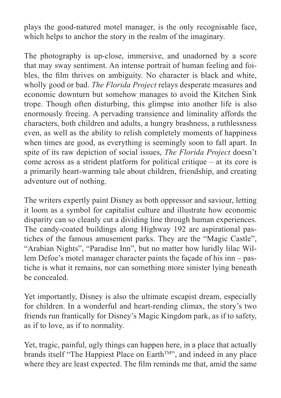plays the good-natured motel manager, is the only recognisable face, which helps to anchor the story in the realm of the imaginary.

The photography is up-close, immersive, and unadorned by a score that may sway sentiment. An intense portrait of human feeling and foibles, the film thrives on ambiguity. No character is black and white, wholly good or bad. *The Florida Project* relays desperate measures and economic downturn but somehow manages to avoid the Kitchen Sink trope. Though often disturbing, this glimpse into another life is also enormously freeing. A pervading transience and liminality affords the characters, both children and adults, a hungry brashness, a ruthlessness even, as well as the ability to relish completely moments of happiness when times are good, as everything is seemingly soon to fall apart. In spite of its raw depiction of social issues, *The Florida Project* doesn't come across as a strident platform for political critique – at its core is a primarily heart-warming tale about children, friendship, and creating adventure out of nothing.

The writers expertly paint Disney as both oppressor and saviour, letting it loom as a symbol for capitalist culture and illustrate how economic disparity can so cleanly cut a dividing line through human experiences. The candy-coated buildings along Highway 192 are aspirational pastiches of the famous amusement parks. They are the "Magic Castle", "Arabian Nights", "Paradise Inn", but no matter how luridly lilac Willem Defoe's motel manager character paints the façade of his inn – pastiche is what it remains, nor can something more sinister lying beneath be concealed.

Yet importantly, Disney is also the ultimate escapist dream, especially for children. In a wonderful and heart-rending climax, the story's two friends run frantically for Disney's Magic Kingdom park, as if to safety, as if to love, as if to normality.

Yet, tragic, painful, ugly things can happen here, in a place that actually brands itself "The Happiest Place on Earth<sup>™</sup>", and indeed in any place where they are least expected. The film reminds me that, amid the same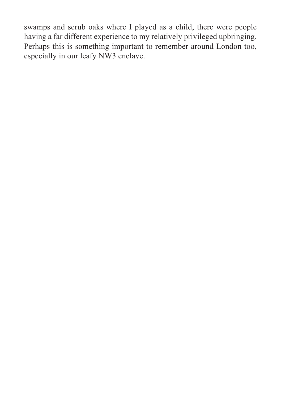swamps and scrub oaks where I played as a child, there were people having a far different experience to my relatively privileged upbringing. Perhaps this is something important to remember around London too, especially in our leafy NW3 enclave.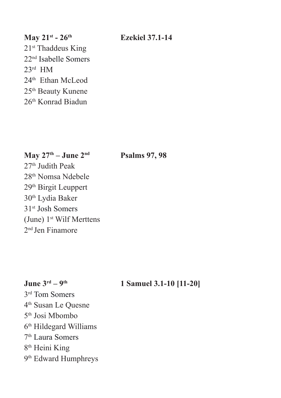# **May 21st - 26th Ezekiel 37.1-14** 21<sup>st</sup> Thaddeus King 22nd Isabelle Somers 23rd HM 24<sup>th</sup> Ethan McLeod 25th Beauty Kunene 26th Konrad Biadun

**May 27th – June 2nd Psalms 97, 98** 

27<sup>th</sup> Judith Peak 28th Nomsa Ndebele 29th Birgit Leuppert 30th Lydia Baker 31st Josh Somers (June) 1<sup>st</sup> Wilf Merttens 2nd Jen Finamore

### **June 3<sup>rd</sup> – 9<sup>th</sup> 1 Samuel 3.1-10 [11-20]**

3rd Tom Somers 4th Susan Le Quesne 5th Josi Mbombo 6th Hildegard Williams 7th Laura Somers 8th Heini King 9<sup>th</sup> Edward Humphreys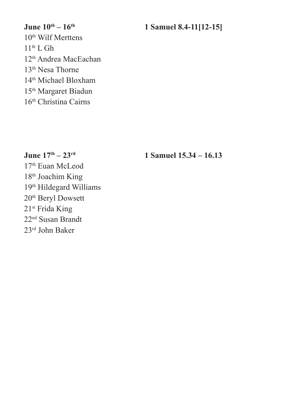**June 10<sup>th</sup> – 16<sup>th</sup> 1 Samuel 8.4-11[12-15]** 10th Wilf Merttens  $11<sup>th</sup>$  L Gh 12th Andrea MacEachan 13th Nesa Thorne 14th Michael Bloxham 15th Margaret Biadun 16th Christina Cairns

**June 17th – 23rd 1 Samuel 15.34 – 16.13** 

17th Euan McLeod 18th Joachim King 19th Hildegard Williams 20th Beryl Dowsett 21st Frida King 22nd Susan Brandt 23rd John Baker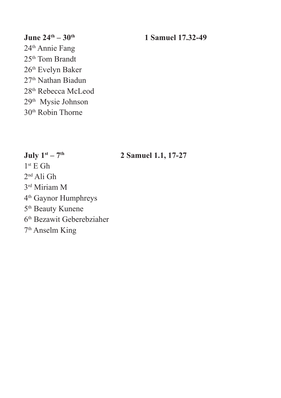### **June 24<sup>th</sup> – 30<sup>th</sup> 1 Samuel 17.32-49**

24th Annie Fang 25th Tom Brandt 26th Evelyn Baker 27<sup>th</sup> Nathan Biadun 28th Rebecca McLeod 29th Mysie Johnson 30th Robin Thorne

### **July 1st – 7th 2 Samuel 1.1, 17-27**

 $1<sup>st</sup>$  E Gh 2nd Ali Gh 3rd Miriam M 4th Gaynor Humphreys 5th Beauty Kunene 6th Bezawit Geberebziaher 7th Anselm King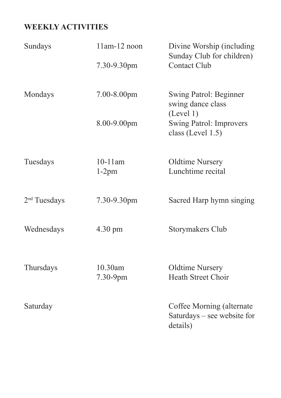# **WEEKLY ACTIVITIES**

| Sundays                  | $11$ am- $12$ noon<br>7.30-9.30pm | Divine Worship (including<br>Sunday Club for children)<br><b>Contact Club</b> |
|--------------------------|-----------------------------------|-------------------------------------------------------------------------------|
|                          |                                   |                                                                               |
| Mondays                  | 7.00-8.00pm                       | Swing Patrol: Beginner<br>swing dance class<br>(Level 1)                      |
|                          | 8.00-9.00pm                       | Swing Patrol: Improvers<br>class (Level 1.5)                                  |
| Tuesdays                 | $10-11$ am<br>$1-2pm$             | <b>Oldtime Nursery</b><br>Lunchtime recital                                   |
| 2 <sup>nd</sup> Tuesdays | 7.30-9.30pm                       | Sacred Harp hymn singing                                                      |
| Wednesdays               | 4.30 pm                           | Storymakers Club                                                              |
| Thursdays                | 10.30am<br>7.30-9pm               | <b>Oldtime Nursery</b><br><b>Heath Street Choir</b>                           |
| Saturday                 |                                   | Coffee Morning (alternate<br>Saturdays - see website for<br>details)          |